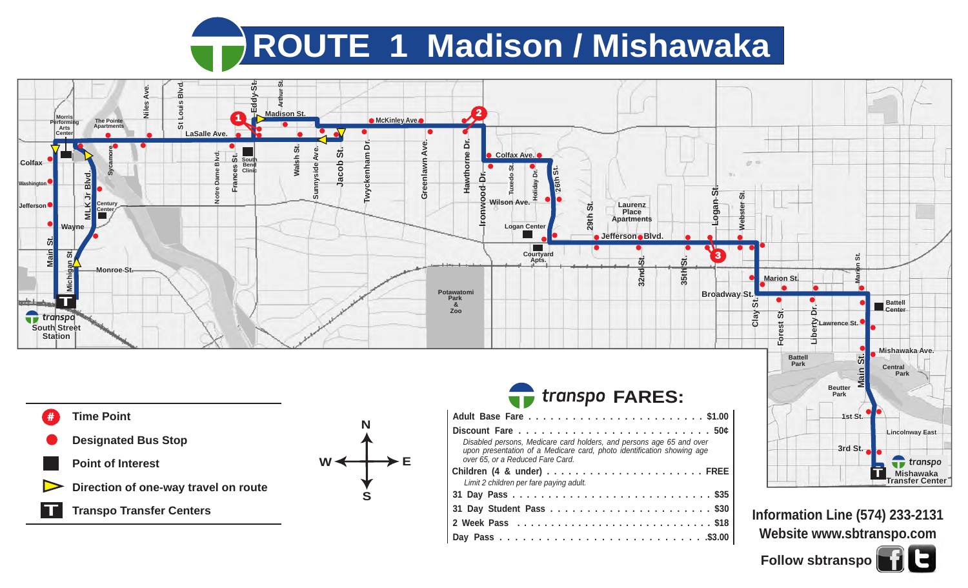## **ROUTE 1 Madison / Mishawaka**



**T Point of Interest Direction of one-way travel on route Transpo Transfer Centers**



| Disabled persons, Medicare card holders, and persons age 65 and over<br>upon presentation of a Medicare card, photo identification showing age<br>over 65, or a Reduced Fare Card. |  |  |  |  |  |  |  |  |
|------------------------------------------------------------------------------------------------------------------------------------------------------------------------------------|--|--|--|--|--|--|--|--|
|                                                                                                                                                                                    |  |  |  |  |  |  |  |  |
| Limit 2 children per fare paying adult.                                                                                                                                            |  |  |  |  |  |  |  |  |
|                                                                                                                                                                                    |  |  |  |  |  |  |  |  |
|                                                                                                                                                                                    |  |  |  |  |  |  |  |  |
|                                                                                                                                                                                    |  |  |  |  |  |  |  |  |
|                                                                                                                                                                                    |  |  |  |  |  |  |  |  |



3rd St.

**T**

**Mishawaka Transfer Center**

 $\bullet$  transpo